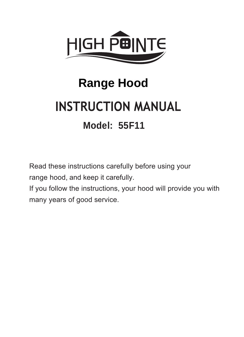

# **Range Hood INSTRUCTION MANUAL Model: 55F11**

Read these instructions carefully before using your range hood, and keep it carefully.

If you follow the instructions, your hood will provide you with many years of good service.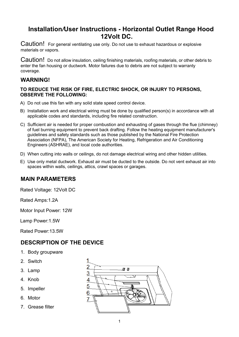## Installation*/*User Instructions - Horizontal Outlet Range Hood 12Volt DC.

Caution! For general ventilating use only. Do not use to exhaust hazardous or explosive materials or vapors.

Caution! Do not allow insulation, ceiling finishing materials, roofing materials, or other debris to enter the fan housing or ductwork. Motor failures due to debris are not subject to warranty coverage.

#### WARNING!

#### TO REDUCE THE RISK OF FIRE, ELECTRIC SHOCK, OR INJURY TO PERSONS, OBSERVE THE FOLLOWING:

- A) Do not use this fan with any solid state speed control device.
- B) Installation work and electrical wiring must be done by qualified person(s) in accordance with all applicable codes and standards, including fire related construction.
- C) Sufficient air is needed for proper combustion and exhausting of gases through the flue (chimney) of fuel burning equipment to prevent back drafting. Follow the heating equipment manufacturer's guidelines and safety standards such as those published by the National Fire Protection Association (NFPA), The American Society for Heating, Refrigeration and Air Conditioning Engineers (ASHRAE), and local code authorities.
- D) When cutting into walls or ceilings, do not damage electrical wiring and other hidden utilities.
- E) Use only metal ductwork. Exhaust air must be ducted to the outside. Do not vent exhaust air into spaces within walls, ceilings, attics, crawl spaces or garages.

#### MAIN PARAMETERS

Rated Voltage: 12Volt DC

Rated Amps:1.2A

Motor Input Power: 12W

Lamp Power:1.5W

Rated Power:13.5W

## DESCRIPTION OF THE DEVICE

- 1. Body groupware
- 2. Switch
- 3. Lamp
- 4. Knob
- 5. Impeller
- 6. Motor
- 7. Grease filter

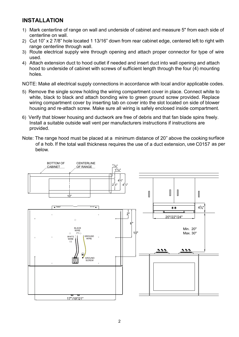## **INSTALLATION**

- 1) Mark centerline of range on wall and underside of cabinet and measure 5" from each side of centerline on wall.
- 2) Cut 10" x 2 7/8" hole located 1 13/16" down from rear cabinet edge, centered left to right with range centerline through wall.
- 3) Route electrical supply wire through opening and attach proper connector for type of wire used.
- 4) Attach extension duct to hood outlet if needed and insert duct into wall opening and attach hood to underside of cabinet with screws of sufficient length through the four (4) mounting holes.

NOTE: Make all electrical supply connections in accordance with local and/or applicable codes.

- 5) Remove the single screw holding the wiring compartment cover in place. Connect white to white, black to black and attach bonding wire to green ground screw provided. Replace wiring compartment cover by inserting tab on cover into the slot located on side of blower housing and re-attach screw. Make sure all wiring is safely enclosed inside compartment.
- 6) Verify that blower housing and ductwork are free of debris and that fan blade spins freely. Install a suitable outside wall vent per manufacturers instructions if instructions are provided.
- Note: The range hood must be placed at a minimum distance of 20" above the cooking surfaceof a hob. If the total wall thickness requires the use of a duct extension, use C0157 as per below.